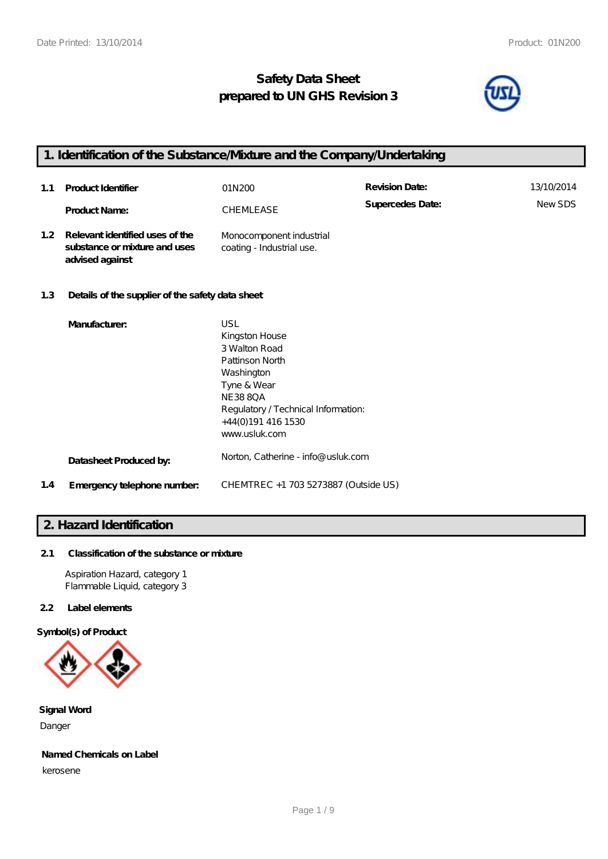# **Safety Data Sheet prepared to UN GHS Revision 3**



# **1. Identification of the Substance/Mixture and the Company/Undertaking**

| 1.1 | <b>Product Identifier</b>                                                           | 01N200                                                                                                                                                                                 | <b>Revision Date:</b> | 13/10/2014 |
|-----|-------------------------------------------------------------------------------------|----------------------------------------------------------------------------------------------------------------------------------------------------------------------------------------|-----------------------|------------|
|     | <b>Product Name:</b>                                                                | CHEMLEASE                                                                                                                                                                              | Supercedes Date:      | NewSDS     |
| 1.2 | Relevant identified uses of the<br>substance or mixture and uses<br>advised against | Monocomponent industrial<br>coating - Industrial use.                                                                                                                                  |                       |            |
| 1.3 | Details of the supplier of the safety data sheet                                    |                                                                                                                                                                                        |                       |            |
|     | Manufacturer.                                                                       | USL<br>Kingston House<br>3 Walton Road<br>Pattinson North<br>Washington<br>Tyne & Wear<br><b>NE388QA</b><br>Regulatory / Technical Information:<br>+44(0)191 416 1530<br>www.usluk.com |                       |            |

| Datasheet Produced by: | Norton, Catherine - info@ usluk.com |
|------------------------|-------------------------------------|
|------------------------|-------------------------------------|

**1.4 Emergency telephone number:** CHEMTREC +1 703 5273887 (Outside US)

# **2. Hazard Identification**

# **2.1 Classification of the substance or mixture**

Aspiration Hazard, category 1 Flammable Liquid, category 3

# **2.2 Label elements**

**Symbol(s) of Product**



**Signal Word** Danger

# **Named Chemicals on Label**

kerosene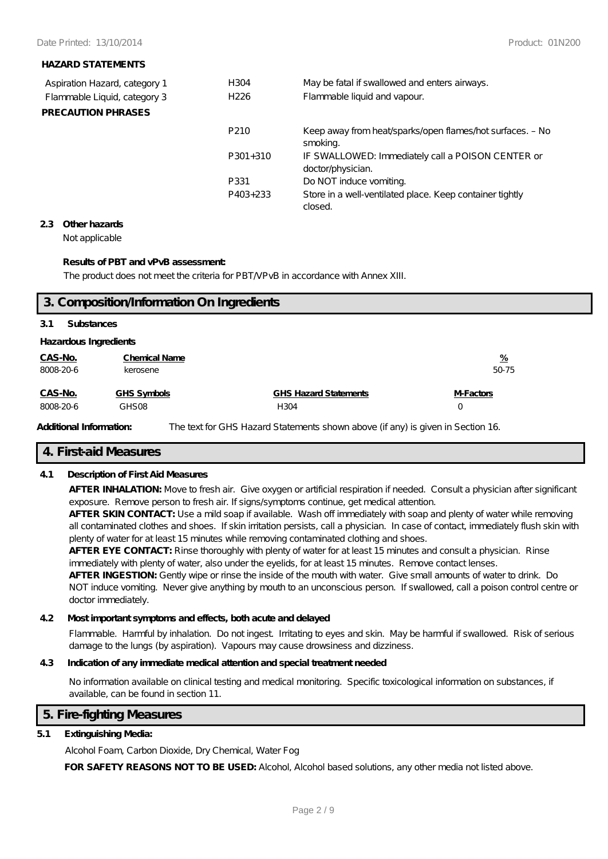## **HAZARD STATEMENTS**

| Aspiration Hazard, category 1 | H304             | May be fatal if swallowed and enters airways.                          |
|-------------------------------|------------------|------------------------------------------------------------------------|
| Flammable Liquid, category 3  | H <sub>226</sub> | Flammable liquid and vapour.                                           |
| <b>PRECAUTION PHRASES</b>     |                  |                                                                        |
|                               | P <sub>210</sub> | Keep away from heat/sparks/open flames/hot surfaces. - No<br>smoking.  |
|                               | $P301+310$       | IF SWALLOWED: Immediately call a POISON CENTER or<br>doctor/physician. |
|                               | P331             | Do NOT induce vomiting.                                                |
|                               | P403+233         | Store in a well-ventilated place. Keep container tightly<br>closed.    |

### **2.3 Other hazards**

Not applicable

## **Results of PBT and vPvB assessment:**

The product does not meet the criteria for PBT/VPvB in accordance with Annex XIII.

|           | 3. Composition/Information On Ingredients |                              |               |  |  |
|-----------|-------------------------------------------|------------------------------|---------------|--|--|
| 3.1       | <b>Substances</b>                         |                              |               |  |  |
|           | <b>Hazardous Ingredients</b>              |                              |               |  |  |
| CAS-No.   | <b>Chemical Name</b>                      |                              | $\frac{9}{6}$ |  |  |
| 8008-20-6 | kerosene                                  |                              | 50-75         |  |  |
| CAS-No.   | GHS Symbols                               | <b>GHS Hazard Statements</b> | M-Factors     |  |  |
| 8008-20-6 | GHS08                                     | H304                         | 0             |  |  |

Additional Information: The text for GHS Hazard Statements shown above (if any) is given in Section 16.

# **4. First-aid Measures**

# **4.1 Description of First Aid Measures**

**AFTER INHALATION:** Move to fresh air. Give oxygen or artificial respiration if needed. Consult a physician after significant exposure. Remove person to fresh air. If signs/symptoms continue, get medical attention.

**AFTER SKIN CONTACT:** Use a mild soap if available. Wash off immediately with soap and plenty of water while removing all contaminated clothes and shoes. If skin irritation persists, call a physician. In case of contact, immediately flush skin with plenty of water for at least 15 minutes while removing contaminated clothing and shoes.

**AFTER EYE CONTACT:** Rinse thoroughly with plenty of water for at least 15 minutes and consult a physician. Rinse immediately with plenty of water, also under the eyelids, for at least 15 minutes. Remove contact lenses.

**AFTER INGESTION:** Gently wipe or rinse the inside of the mouth with water. Give small amounts of water to drink. Do NOT induce vomiting. Never give anything by mouth to an unconscious person. If swallowed, call a poison control centre or doctor immediately.

### **4.2 Most important symptoms and effects, both acute and delayed**

Flammable. Harmful by inhalation. Do not ingest. Irritating to eyes and skin. May be harmful if swallowed. Risk of serious damage to the lungs (by aspiration). Vapours may cause drowsiness and dizziness.

# **4.3 Indication of any immediate medical attention and special treatment needed**

No information available on clinical testing and medical monitoring. Specific toxicological information on substances, if available, can be found in section 11.

# **5. Fire-fighting Measures**

# **5.1 Extinguishing Media:**

Alcohol Foam, Carbon Dioxide, Dry Chemical, Water Fog

**FOR SAFETY REASONS NOT TO BE USED:** Alcohol, Alcohol based solutions, any other media not listed above.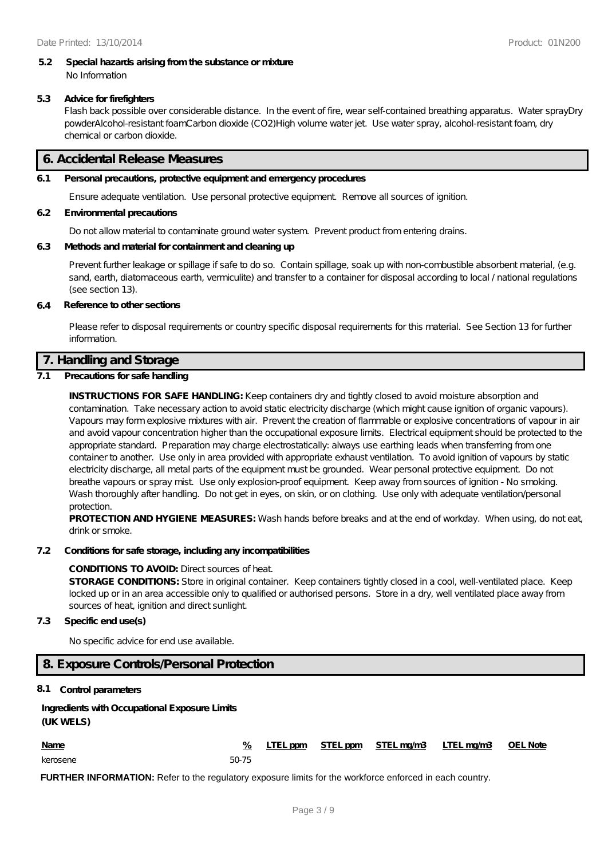#### **5.2 Special hazards arising from the substance or mixture** No Information

### **5.3 Advice for firefighters**

Flash back possible over considerable distance. In the event of fire, wear self-contained breathing apparatus. Water sprayDry powderAlcohol-resistant foamCarbon dioxide (CO2)High volume water jet. Use water spray, alcohol-resistant foam, dry chemical or carbon dioxide.

# **6. Accidental Release Measures**

## **6.1 Personal precautions, protective equipment and emergency procedures**

Ensure adequate ventilation. Use personal protective equipment. Remove all sources of ignition.

### **6.2 Environmental precautions**

Do not allow material to contaminate ground water system. Prevent product from entering drains.

### **6.3 Methods and material for containment and cleaning up**

Prevent further leakage or spillage if safe to do so. Contain spillage, soak up with non-combustible absorbent material, (e.g. sand, earth, diatomaceous earth, vermiculite) and transfer to a container for disposal according to local / national regulations (see section 13).

#### **6.4 Reference to other sections**

Please refer to disposal requirements or country specific disposal requirements for this material. See Section 13 for further information.

# **7. Handling and Storage**

### **7.1 Precautions for safe handling**

**INSTRUCTIONS FOR SAFE HANDLING:** Keep containers dry and tightly closed to avoid moisture absorption and contamination. Take necessary action to avoid static electricity discharge (which might cause ignition of organic vapours). Vapours may form explosive mixtures with air. Prevent the creation of flammable or explosive concentrations of vapour in air and avoid vapour concentration higher than the occupational exposure limits. Electrical equipment should be protected to the appropriate standard. Preparation may charge electrostatically: always use earthing leads when transferring from one container to another. Use only in area provided with appropriate exhaust ventilation. To avoid ignition of vapours by static electricity discharge, all metal parts of the equipment must be grounded. Wear personal protective equipment. Do not breathe vapours or spray mist. Use only explosion-proof equipment. Keep away from sources of ignition - No smoking. Wash thoroughly after handling. Do not get in eyes, on skin, or on clothing. Use only with adequate ventilation/personal protection.

**PROTECTION AND HYGIENE MEASURES:** Wash hands before breaks and at the end of workday. When using, do not eat, drink or smoke.

#### **7.2 Conditions for safe storage, including any incompatibilities**

#### **CONDITIONS TO AVOID:** Direct sources of heat.

**STORAGE CONDITIONS:** Store in original container. Keep containers tightly closed in a cool, well-ventilated place. Keep locked up or in an area accessible only to qualified or authorised persons. Store in a dry, well ventilated place away from sources of heat, ignition and direct sunlight.

#### **7.3 Specific end use(s)**

No specific advice for end use available.

# **8. Exposure Controls/Personal Protection**

### **8.1 Control parameters**

# **Ingredients with Occupational Exposure Limits (UK WELS)**

| <b>Name</b> |       |  | LTEL ppm STEL ppm STEL mg/m3 LTEL mg/m3 OEL Note |  |
|-------------|-------|--|--------------------------------------------------|--|
| kerosene    | 50-75 |  |                                                  |  |

**FURTHER INFORMATION:** Refer to the regulatory exposure limits for the workforce enforced in each country.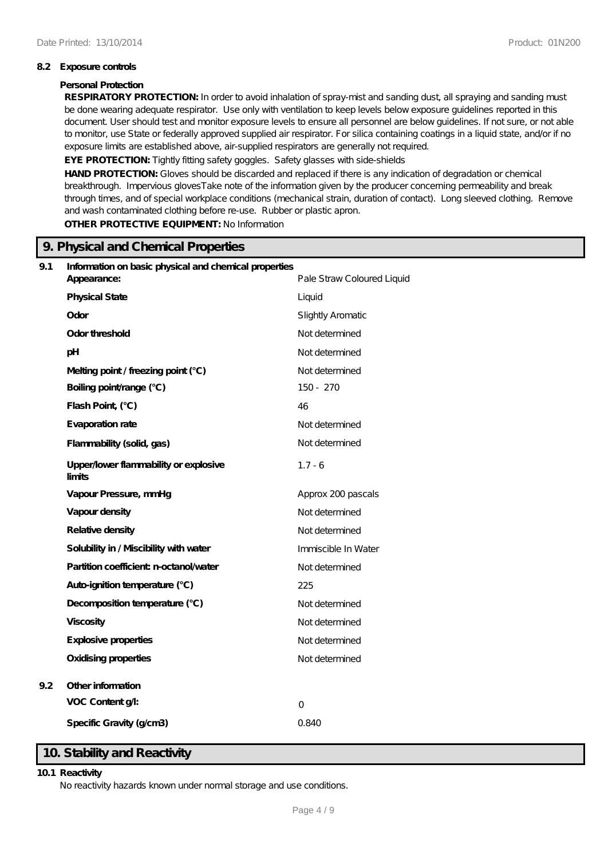### **8.2 Exposure controls**

### **Personal Protection**

**RESPIRATORY PROTECTION:** In order to avoid inhalation of spray-mist and sanding dust, all spraying and sanding must be done wearing adequate respirator. Use only with ventilation to keep levels below exposure guidelines reported in this document. User should test and monitor exposure levels to ensure all personnel are below guidelines. If not sure, or not able to monitor, use State or federally approved supplied air respirator. For silica containing coatings in a liquid state, and/or if no exposure limits are established above, air-supplied respirators are generally not required.

EYE PROTECTION: Tightly fitting safety goggles. Safety glasses with side-shields

**HAND PROTECTION:** Gloves should be discarded and replaced if there is any indication of degradation or chemical breakthrough. Impervious glovesTake note of the information given by the producer concerning permeability and break through times, and of special workplace conditions (mechanical strain, duration of contact). Long sleeved clothing. Remove and wash contaminated clothing before re-use. Rubber or plastic apron.

**OTHER PROTECTIVE EQUIPMENT:** No Information

|     | 9. Physical and Chemical Properties                   |                            |  |  |
|-----|-------------------------------------------------------|----------------------------|--|--|
| 9.1 | Information on basic physical and chemical properties |                            |  |  |
|     | Appearance:                                           | Pale Straw Coloured Liquid |  |  |
|     | <b>Physical State</b>                                 | Liquid                     |  |  |
|     | Odor                                                  | Slightly Aromatic          |  |  |
|     | Odor threshold                                        | Not determined             |  |  |
|     | pH                                                    | Not determined             |  |  |
|     | Melting point / freezing point (°C)                   | Not determined             |  |  |
|     | Boiling point/range (°C)                              | 150 - 270                  |  |  |
|     | Flash Point, (°C)                                     | 46                         |  |  |
|     | Evaporation rate                                      | Not determined             |  |  |
|     | Flammability (solid, gas)                             | Not determined             |  |  |
|     | Upper/lower flammability or explosive<br>limits       | $1.7 - 6$                  |  |  |
|     | Vapour Pressure, mmHg                                 | Approx 200 pascals         |  |  |
|     | Vapour density                                        | Not determined             |  |  |
|     | Relative density                                      | Not determined             |  |  |
|     | Solubility in / Miscibility with water                | Immiscible In Water        |  |  |
|     | Partition coefficient n-octanol/water                 | Not determined             |  |  |
|     | Auto-ignition temperature (°C)                        | 225                        |  |  |
|     | Decomposition temperature (°C)                        | Not determined             |  |  |
|     | Viscosity                                             | Not determined             |  |  |
|     | Explosive properties                                  | Not determined             |  |  |
|     | <b>Oxidising properties</b>                           | Not determined             |  |  |
| 9.2 | Other information                                     |                            |  |  |
|     | VOC Content g/:                                       | $\overline{O}$             |  |  |
|     | Specific Gravity (g/cm3)                              | 0.840                      |  |  |

# **10. Stability and Reactivity**

#### **10.1 Reactivity**

No reactivity hazards known under normal storage and use conditions.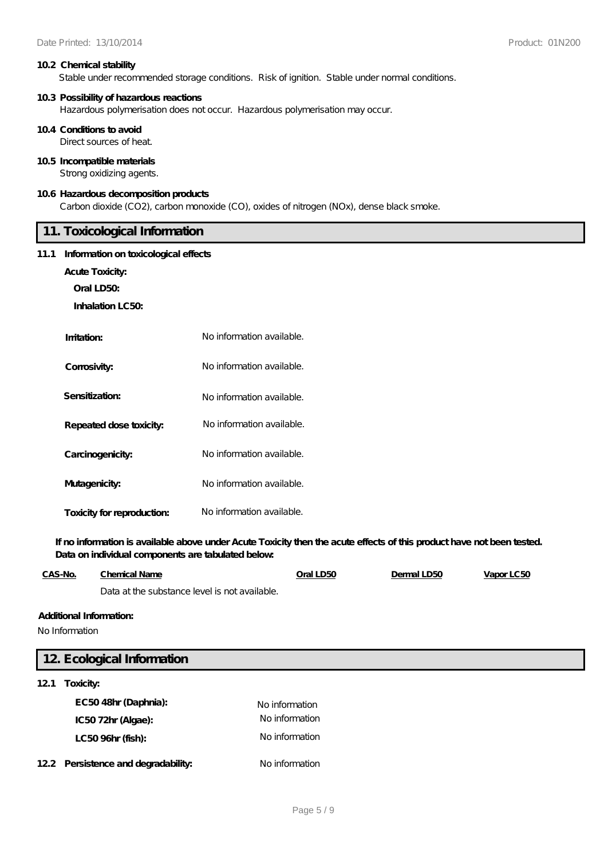#### **10.2 Chemical stability**

Stable under recommended storage conditions. Risk of ignition. Stable under normal conditions.

#### **10.3 Possibility of hazardous reactions**

Hazardous polymerisation does not occur. Hazardous polymerisation may occur.

#### **10.4 Conditions to avoid**

Direct sources of heat.

### **10.5 Incompatible materials**

Strong oxidizing agents.

### **10.6 Hazardous decomposition products**

Carbon dioxide (CO2), carbon monoxide (CO), oxides of nitrogen (NOx), dense black smoke.

# **11. Toxicological Information**

### **11.1 Information on toxicological effects**

**Acute Toxicity:**

**Oral LD50:**

**Inhalation LC50:**

| Imitation:                 | No information available. |
|----------------------------|---------------------------|
| Corrosivity:               | No information available. |
| Sensitization:             | No information available. |
| Repeated dose toxicity:    | No information available. |
| Carcinogenicity:           | No information available. |
| Mutagenicity:              | No information available. |
| Toxicity for reproduction: | No information available. |

**If no information is available above under Acute Toxicity then the acute effects of this product have not been tested. Data on individual components are tabulated below:**

| CAS-No. | Chemical Name                                 | Oral LD50 | Dermal LD50 | Vapor LC50 |
|---------|-----------------------------------------------|-----------|-------------|------------|
|         | Data at the substance level is not available. |           |             |            |

#### **Additional Information:**

No Information

| 12 Ecological Information           |                |  |  |  |
|-------------------------------------|----------------|--|--|--|
| Toxicity:<br>121                    |                |  |  |  |
| EC5048hr (Daphnia):                 | No information |  |  |  |
| IC5072hr (Algae):                   | No information |  |  |  |
| LC50 96hr (fish):                   | No information |  |  |  |
| 12.2 Persistence and degradability: | No information |  |  |  |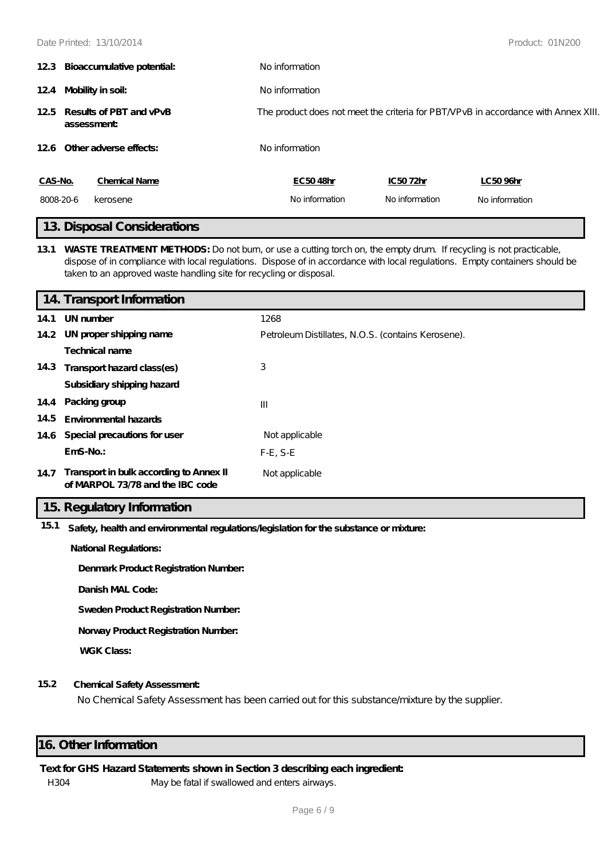|                                           | 12.3 Bioaccumulative potential: | No information                                                                     |                |                |  |
|-------------------------------------------|---------------------------------|------------------------------------------------------------------------------------|----------------|----------------|--|
|                                           | 124 Mobility in soil:           | No information                                                                     |                |                |  |
| 125 Results of PBT and vPvB<br>assessment |                                 | The product does not meet the criteria for PBT/VPvB in accordance with Annex XIII. |                |                |  |
|                                           | 12.6 Other adverse effects:     | No information                                                                     |                |                |  |
| CAS-No.                                   | <b>Chemical Name</b>            | EC5048hr                                                                           | IC5072hr       | LC50 96hr      |  |
| 8008-20-6                                 | kerosene                        | No information                                                                     | No information | No information |  |
|                                           | 10 Diamond Compieters to no     |                                                                                    |                |                |  |

# **13. Disposal Considerations**

**13.1 WASTE TREATMENT METHODS:** Do not burn, or use a cutting torch on, the empty drum. If recycling is not practicable, dispose of in compliance with local regulations. Dispose of in accordance with local regulations. Empty containers should be taken to an approved waste handling site for recycling or disposal.

|      | 14. Transport Information                                                   |                                                    |
|------|-----------------------------------------------------------------------------|----------------------------------------------------|
| 14.1 | UN number                                                                   | 1268                                               |
|      | 14.2 UN proper shipping name                                                | Petroleum Distillates, N.O.S. (contains Kerosene). |
|      | Technical name                                                              |                                                    |
|      | 14.3 Transport hazard class(es)                                             | 3                                                  |
|      | Subsidiary shipping hazard                                                  |                                                    |
|      | 14.4 Packing group                                                          | $\mathbf{III}$                                     |
| 14.5 | Environmental hazards                                                       |                                                    |
|      | 14.6 Special precautions for user                                           | Not applicable                                     |
|      | $EmS-No.$                                                                   | $F-E$ , S-E                                        |
| 14.7 | Transport in bulk according to Annex II<br>of MARPOL 73/78 and the IBC code | Not applicable                                     |

# **15. Regulatory Information**

**15.1 Safety, health and environmental regulations/legislation for the substance or mixture:**

**National Regulations:**

**Denmark Product Registration Number:**

**Danish MAL Code:**

**Sweden Product Registration Number:**

**Norway Product Registration Number:**

**WGK Class:**

# **15.2 Chemical Safety Assessment:**

No Chemical Safety Assessment has been carried out for this substance/mixture by the supplier.

# **16. Other Information**

## **Text for GHS Hazard Statements shown in Section 3 describing each ingredient:**

H304 May be fatal if swallowed and enters airways.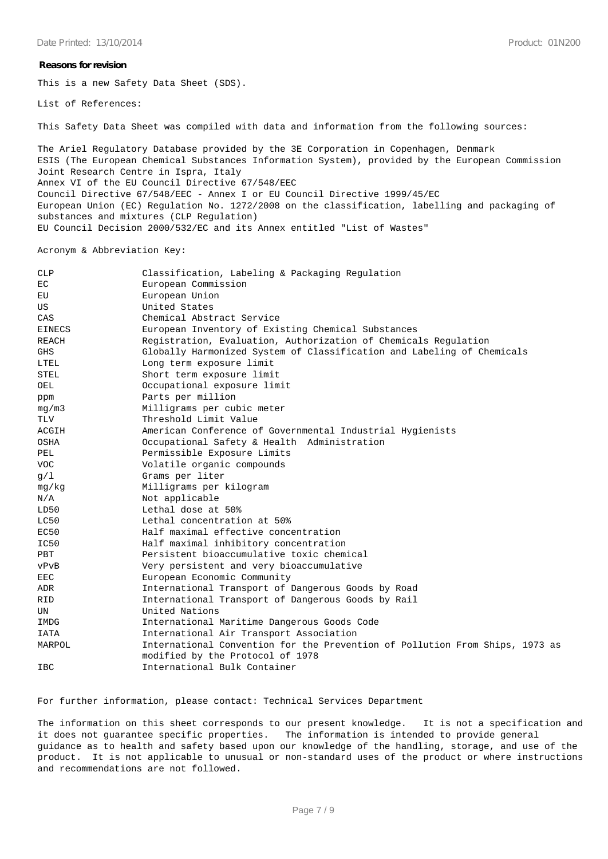#### **Reasons for revision**

This is a new Safety Data Sheet (SDS).

List of References:

This Safety Data Sheet was compiled with data and information from the following sources:

The Ariel Regulatory Database provided by the 3E Corporation in Copenhagen, Denmark ESIS (The European Chemical Substances Information System), provided by the European Commission Joint Research Centre in Ispra, Italy Annex VI of the EU Council Directive 67/548/EEC Council Directive 67/548/EEC - Annex I or EU Council Directive 1999/45/EC European Union (EC) Regulation No. 1272/2008 on the classification, labelling and packaging of substances and mixtures (CLP Regulation) EU Council Decision 2000/532/EC and its Annex entitled "List of Wastes"

Acronym & Abbreviation Key:

| <b>CLP</b>    | Classification, Labeling & Packaging Regulation                              |
|---------------|------------------------------------------------------------------------------|
| EC            | European Commission                                                          |
| EU            | European Union                                                               |
| US            | United States                                                                |
| CAS           | Chemical Abstract Service                                                    |
| <b>EINECS</b> | European Inventory of Existing Chemical Substances                           |
| <b>REACH</b>  | Registration, Evaluation, Authorization of Chemicals Regulation              |
| <b>GHS</b>    | Globally Harmonized System of Classification and Labeling of Chemicals       |
| LTEL          | Long term exposure limit                                                     |
| <b>STEL</b>   | Short term exposure limit                                                    |
| OEL           | Occupational exposure limit                                                  |
| ppm           | Parts per million                                                            |
| mg/m3         | Milligrams per cubic meter                                                   |
| <b>TLV</b>    | Threshold Limit Value                                                        |
| ACGIH         | American Conference of Governmental Industrial Hygienists                    |
| OSHA          | Occupational Safety & Health Administration                                  |
| PEL           | Permissible Exposure Limits                                                  |
| <b>VOC</b>    | Volatile organic compounds                                                   |
| q/1           | Grams per liter                                                              |
| mq/kg         | Milligrams per kilogram                                                      |
| N/A           | Not applicable                                                               |
| LD50          | Lethal dose at 50%                                                           |
| LC50          | Lethal concentration at 50%                                                  |
| EC50          | Half maximal effective concentration                                         |
| IC50          | Half maximal inhibitory concentration                                        |
| PBT           | Persistent bioaccumulative toxic chemical                                    |
| vPvB          | Very persistent and very bioaccumulative                                     |
| <b>EEC</b>    | European Economic Community                                                  |
| ADR           | International Transport of Dangerous Goods by Road                           |
| <b>RID</b>    | International Transport of Dangerous Goods by Rail                           |
| UN            | United Nations                                                               |
| IMDG          | International Maritime Dangerous Goods Code                                  |
| IATA          | International Air Transport Association                                      |
| MARPOL        | International Convention for the Prevention of Pollution From Ships, 1973 as |
|               | modified by the Protocol of 1978                                             |
| <b>IBC</b>    | International Bulk Container                                                 |

For further information, please contact: Technical Services Department

The information on this sheet corresponds to our present knowledge. It is not a specification and it does not guarantee specific properties. The information is intended to provide general guidance as to health and safety based upon our knowledge of the handling, storage, and use of the product. It is not applicable to unusual or non-standard uses of the product or where instructions and recommendations are not followed.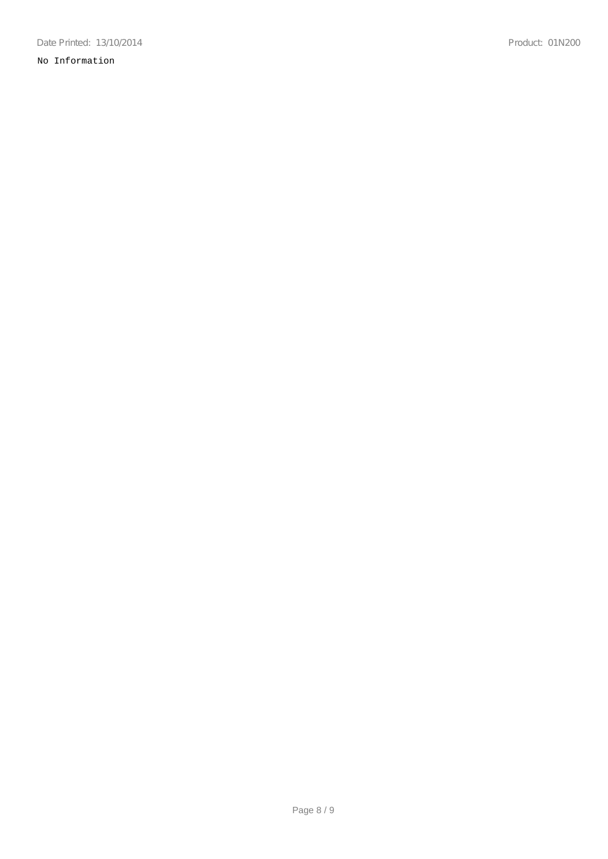# No Information